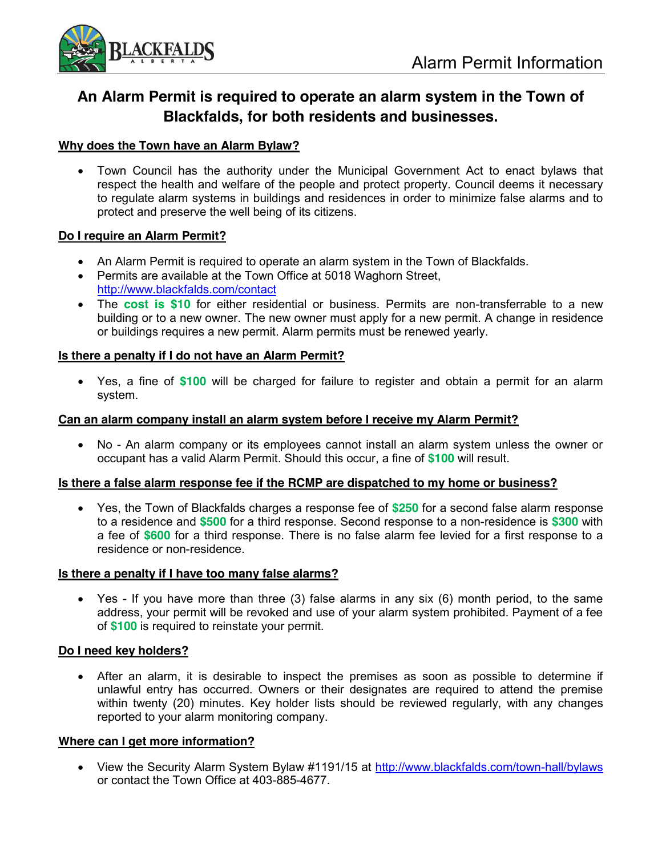

# **An Alarm Permit is required to operate an alarm system in the Town of Blackfalds, for both residents and businesses.**

### **Why does the Town have an Alarm Bylaw?**

• Town Council has the authority under the Municipal Government Act to enact bylaws that respect the health and welfare of the people and protect property. Council deems it necessary to regulate alarm systems in buildings and residences in order to minimize false alarms and to protect and preserve the well being of its citizens.

### **Do I require an Alarm Permit?**

- An Alarm Permit is required to operate an alarm system in the Town of Blackfalds.
- Permits are available at the Town Office at 5018 Waghorn Street, http://www.blackfalds.com/contact
- The cost is \$10 for either residential or business. Permits are non-transferrable to a new building or to a new owner. The new owner must apply for a new permit. A change in residence or buildings requires a new permit. Alarm permits must be renewed yearly.

### **Is there a penalty if I do not have an Alarm Permit?**

x Yes, a fine of **\$100** will be charged for failure to register and obtain a permit for an alarm system.

#### **Can an alarm company install an alarm system before I receive my Alarm Permit?**

• No - An alarm company or its employees cannot install an alarm system unless the owner or occupant has a valid Alarm Permit. Should this occur, a fine of **\$100** will result.

#### **Is there a false alarm response fee if the RCMP are dispatched to my home or business?**

x Yes, the Town of Blackfalds charges a response fee of **\$250** for a second false alarm response to a residence and **\$500** for a third response. Second response to a non-residence is **\$300** with a fee of **\$600** for a third response. There is no false alarm fee levied for a first response to a residence or non-residence.

### **Is there a penalty if I have too many false alarms?**

 $\bullet$  Yes - If you have more than three (3) false alarms in any six (6) month period, to the same address, your permit will be revoked and use of your alarm system prohibited. Payment of a fee of **\$100** is required to reinstate your permit.

### **Do I need key holders?**

• After an alarm, it is desirable to inspect the premises as soon as possible to determine if unlawful entry has occurred. Owners or their designates are required to attend the premise within twenty (20) minutes. Key holder lists should be reviewed regularly, with any changes reported to your alarm monitoring company.

### **Where can I get more information?**

• View the Security Alarm System Bylaw #1191/15 at http://www.blackfalds.com/town-hall/bylaws or contact the Town Office at 403-885-4677.